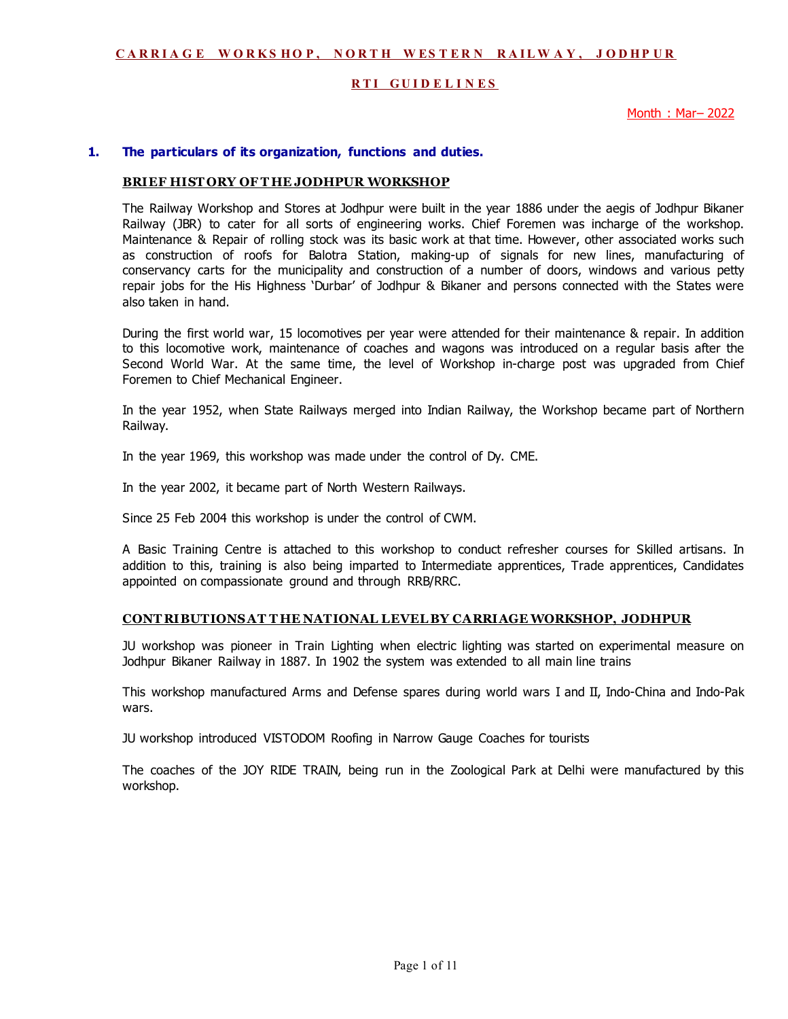## **RTI GUIDELINES**

Month : Mar– 2022

#### **1. The particulars of its organization, functions and duties.**

#### **BRIEF HIST ORY OF T HE JODHPUR WORKSHOP**

The Railway Workshop and Stores at Jodhpur were built in the year 1886 under the aegis of Jodhpur Bikaner Railway (JBR) to cater for all sorts of engineering works. Chief Foremen was incharge of the workshop. Maintenance & Repair of rolling stock was its basic work at that time. However, other associated works such as construction of roofs for Balotra Station, making-up of signals for new lines, manufacturing of conservancy carts for the municipality and construction of a number of doors, windows and various petty repair jobs for the His Highness 'Durbar' of Jodhpur & Bikaner and persons connected with the States were also taken in hand.

During the first world war, 15 locomotives per year were attended for their maintenance & repair. In addition to this locomotive work, maintenance of coaches and wagons was introduced on a regular basis after the Second World War. At the same time, the level of Workshop in-charge post was upgraded from Chief Foremen to Chief Mechanical Engineer.

In the year 1952, when State Railways merged into Indian Railway, the Workshop became part of Northern Railway.

In the year 1969, this workshop was made under the control of Dy. CME.

In the year 2002, it became part of North Western Railways.

Since 25 Feb 2004 this workshop is under the control of CWM.

A Basic Training Centre is attached to this workshop to conduct refresher courses for Skilled artisans. In addition to this, training is also being imparted to Intermediate apprentices, Trade apprentices, Candidates appointed on compassionate ground and through RRB/RRC.

#### **CONT RIBUTIONS AT T HE NATIONAL LEVEL BY CARRIAGE WORKSHOP, JODHPUR**

JU workshop was pioneer in Train Lighting when electric lighting was started on experimental measure on Jodhpur Bikaner Railway in 1887. In 1902 the system was extended to all main line trains

This workshop manufactured Arms and Defense spares during world wars I and II, Indo-China and Indo-Pak wars.

JU workshop introduced VISTODOM Roofing in Narrow Gauge Coaches for tourists

The coaches of the JOY RIDE TRAIN, being run in the Zoological Park at Delhi were manufactured by this workshop.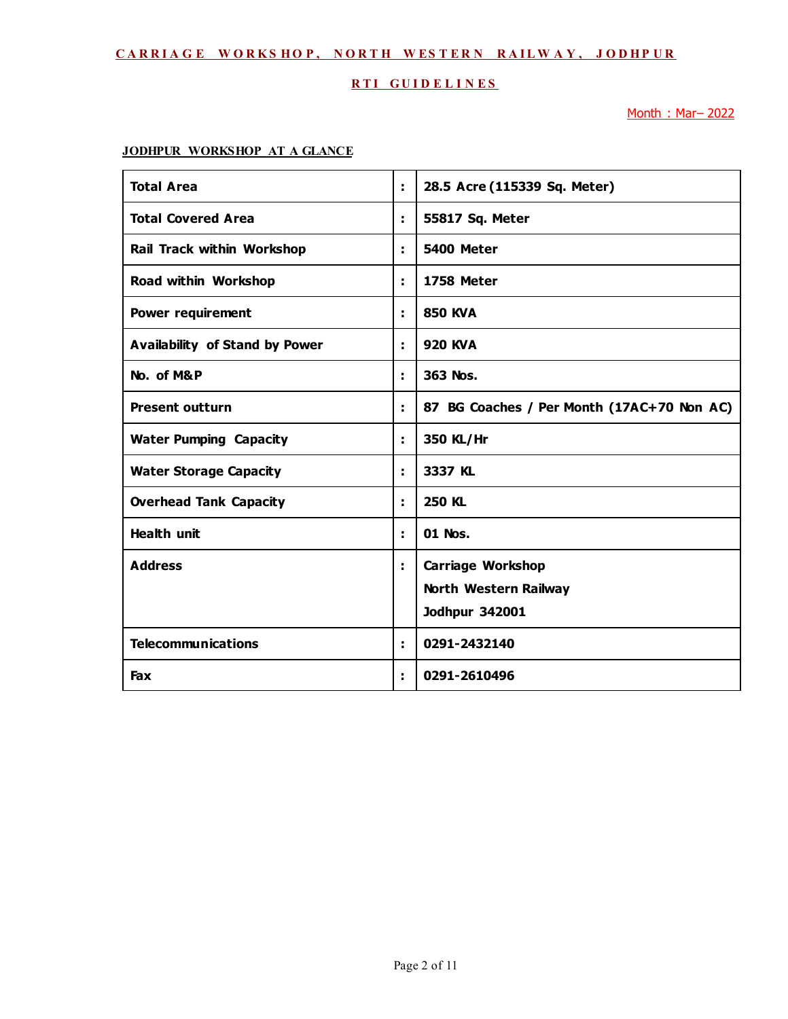## **RTI GUIDELINES**

Month : Mar– 2022

# **JODHPUR WORKSHOP AT A GLANCE**

| <b>Total Area</b>                     | t. | 28.5 Acre (115339 Sq. Meter)                                               |
|---------------------------------------|----|----------------------------------------------------------------------------|
| <b>Total Covered Area</b>             | ÷. | 55817 Sq. Meter                                                            |
| Rail Track within Workshop            | ÷. | 5400 Meter                                                                 |
| Road within Workshop                  | ÷. | <b>1758 Meter</b>                                                          |
| <b>Power requirement</b>              | ÷. | <b>850 KVA</b>                                                             |
| <b>Availability of Stand by Power</b> | ÷. | <b>920 KVA</b>                                                             |
| No. of M&P                            | ÷. | 363 Nos.                                                                   |
| <b>Present outturn</b>                | ÷. | 87 BG Coaches / Per Month (17AC+70 Non AC)                                 |
| <b>Water Pumping Capacity</b>         | ÷. | 350 KL/Hr                                                                  |
| <b>Water Storage Capacity</b>         | ÷. | 3337 KL                                                                    |
| <b>Overhead Tank Capacity</b>         | ÷. | <b>250 KL</b>                                                              |
| <b>Health unit</b>                    | ÷. | 01 Nos.                                                                    |
| <b>Address</b>                        | ÷. | <b>Carriage Workshop</b><br>North Western Railway<br><b>Jodhpur 342001</b> |
| <b>Telecommunications</b>             | ÷. | 0291-2432140                                                               |
| Fax                                   | ÷. | 0291-2610496                                                               |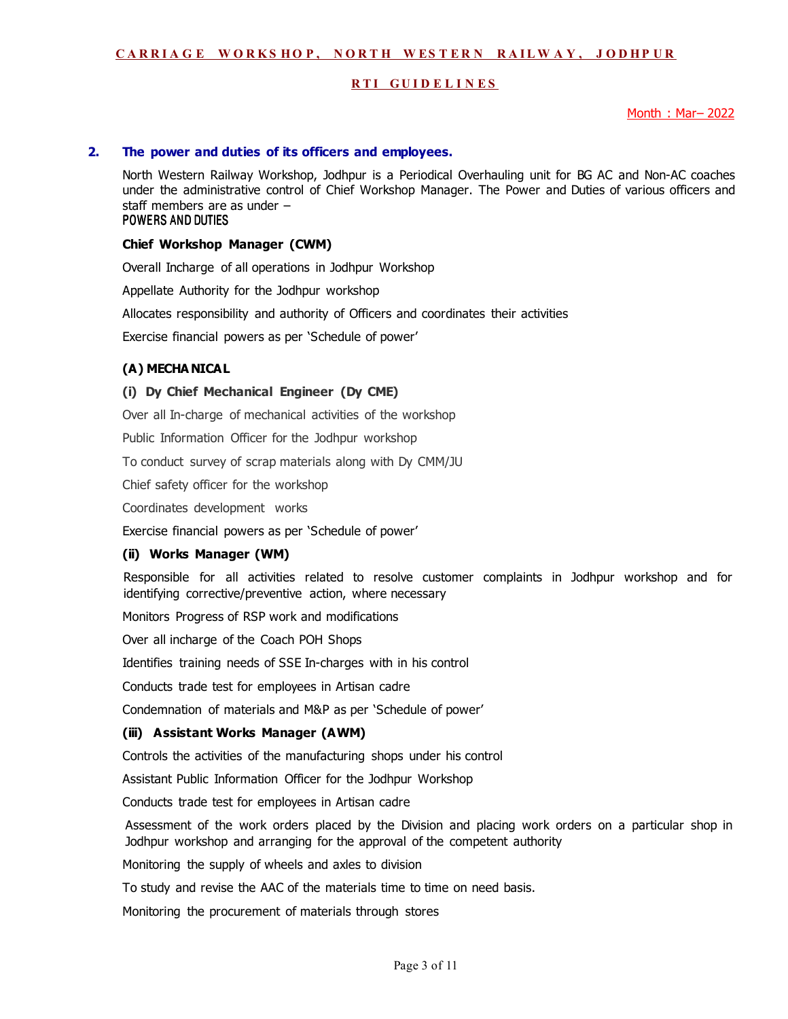## **RTI GUIDELINES**

Month : Mar– 2022

#### **2. The power and duties of its officers and employees.**

North Western Railway Workshop, Jodhpur is a Periodical Overhauling unit for BG AC and Non-AC coaches under the administrative control of Chief Workshop Manager. The Power and Duties of various officers and staff members are as under – POWERS AND DUTIES

#### **Chief Workshop Manager (CWM)**

Overall Incharge of all operations in Jodhpur Workshop

Appellate Authority for the Jodhpur workshop

Allocates responsibility and authority of Officers and coordinates their activities

Exercise financial powers as per 'Schedule of power'

## **(A) MECHA NICAL**

#### **(i) Dy Chief Mechanical Engineer (Dy CME)**

Over all In-charge of mechanical activities of the workshop

Public Information Officer for the Jodhpur workshop

To conduct survey of scrap materials along with Dy CMM/JU

Chief safety officer for the workshop

Coordinates development works

Exercise financial powers as per 'Schedule of power'

#### **(ii) Works Manager (WM)**

 Responsible for all activities related to resolve customer complaints in Jodhpur workshop and for identifying corrective/preventive action, where necessary

Monitors Progress of RSP work and modifications

Over all incharge of the Coach POH Shops

Identifies training needs of SSE In-charges with in his control

Conducts trade test for employees in Artisan cadre

Condemnation of materials and M&P as per 'Schedule of power'

#### **(iii) Assistant Works Manager (AWM)**

Controls the activities of the manufacturing shops under his control

Assistant Public Information Officer for the Jodhpur Workshop

Conducts trade test for employees in Artisan cadre

Assessment of the work orders placed by the Division and placing work orders on a particular shop in Jodhpur workshop and arranging for the approval of the competent authority

Monitoring the supply of wheels and axles to division

To study and revise the AAC of the materials time to time on need basis.

Monitoring the procurement of materials through stores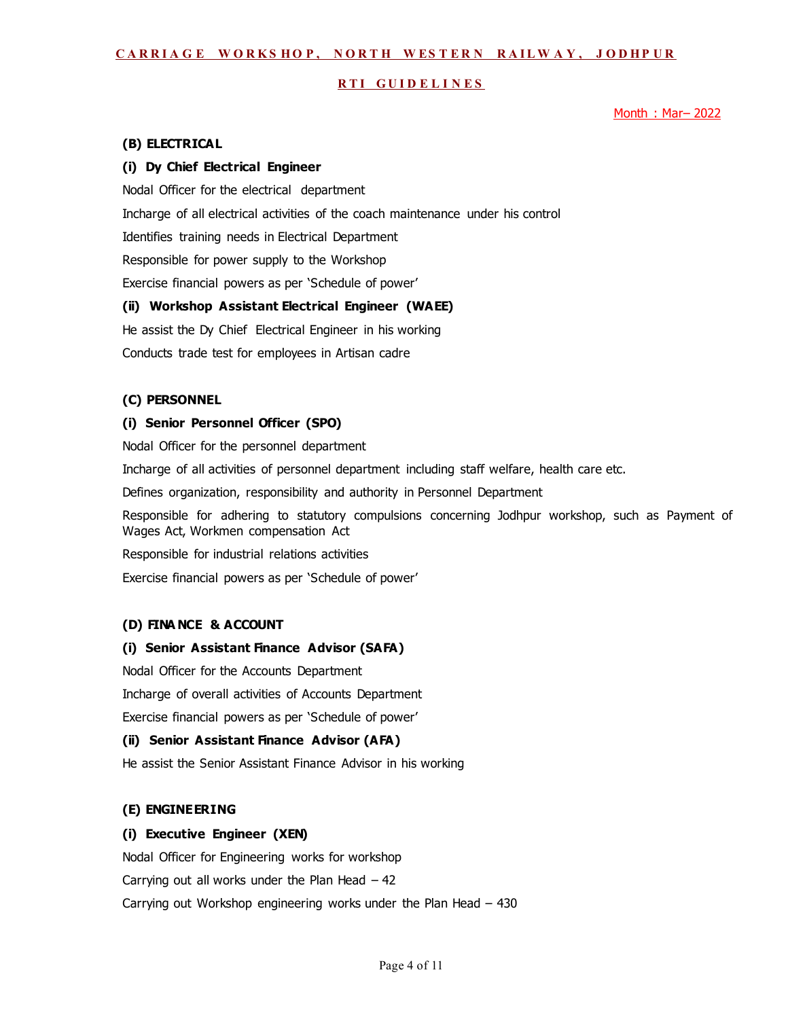#### **RTI GUIDELINES**

Month: Mar-2022

#### **(B) ELECTRICAL**

#### **(i) Dy Chief Electrical Engineer**

Nodal Officer for the electrical department

Incharge of all electrical activities of the coach maintenance under his control

Identifies training needs in Electrical Department

Responsible for power supply to the Workshop

Exercise financial powers as per 'Schedule of power'

#### **(ii) Workshop Assistant Electrical Engineer (WAEE)**

He assist the Dy Chief Electrical Engineer in his working

Conducts trade test for employees in Artisan cadre

#### **(C) PERSONNEL**

#### **(i) Senior Personnel Officer (SPO)**

Nodal Officer for the personnel department

Incharge of all activities of personnel department including staff welfare, health care etc.

Defines organization, responsibility and authority in Personnel Department

Responsible for adhering to statutory compulsions concerning Jodhpur workshop, such as Payment of Wages Act, Workmen compensation Act

Responsible for industrial relations activities

Exercise financial powers as per 'Schedule of power'

#### **(D) FINA NCE & ACCOUNT**

#### **(i) Senior Assistant Finance Advisor (SAFA)**

Nodal Officer for the Accounts Department Incharge of overall activities of Accounts Department Exercise financial powers as per 'Schedule of power'

#### **(ii) Senior Assistant Finance Advisor (AFA)**

He assist the Senior Assistant Finance Advisor in his working

### **(E) ENGINEERING**

#### **(i) Executive Engineer (XEN)**

Nodal Officer for Engineering works for workshop Carrying out all works under the Plan Head  $-42$ Carrying out Workshop engineering works under the Plan Head – 430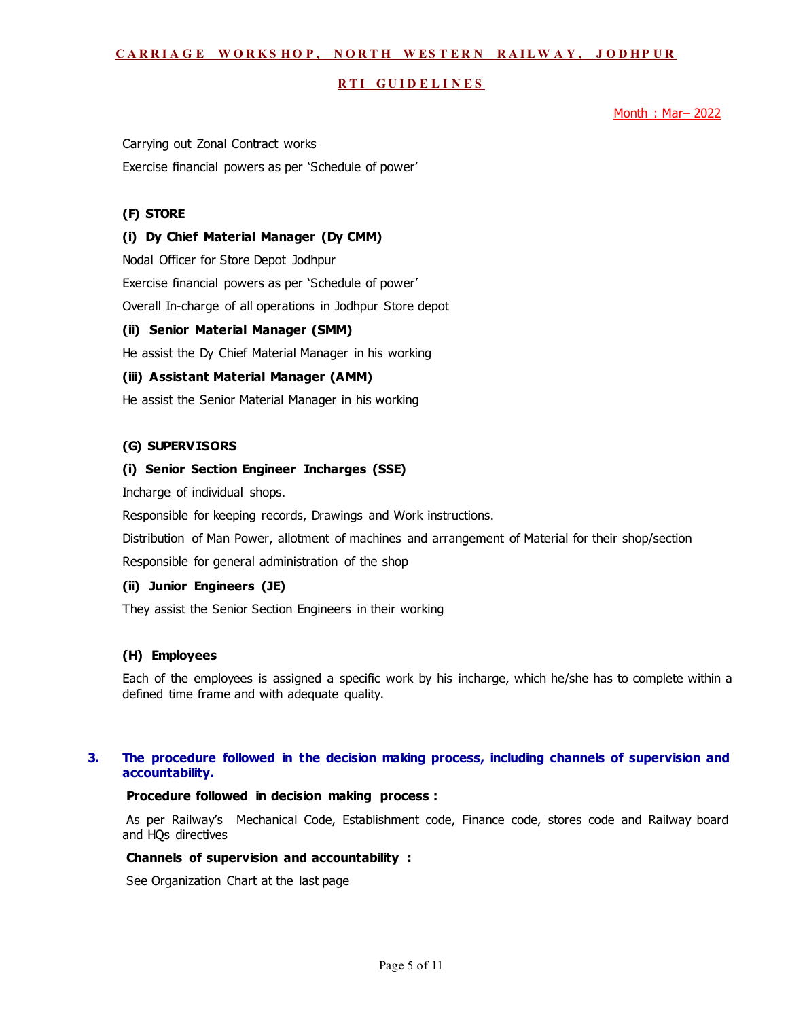#### **RTI GUIDELINES**

Month: Mar-2022

Carrying out Zonal Contract works Exercise financial powers as per 'Schedule of power'

## **(F) STORE**

#### **(i) Dy Chief Material Manager (Dy CMM)**

Nodal Officer for Store Depot Jodhpur

Exercise financial powers as per 'Schedule of power'

Overall In-charge of all operations in Jodhpur Store depot

#### **(ii) Senior Material Manager (SMM)**

He assist the Dy Chief Material Manager in his working

#### **(iii) Assistant Material Manager (AMM)**

He assist the Senior Material Manager in his working

#### **(G) SUPERVISORS**

#### **(i) Senior Section Engineer Incharges (SSE)**

Incharge of individual shops.

Responsible for keeping records, Drawings and Work instructions.

Distribution of Man Power, allotment of machines and arrangement of Material for their shop/section

Responsible for general administration of the shop

### **(ii) Junior Engineers (JE)**

They assist the Senior Section Engineers in their working

#### **(H) Employees**

Each of the employees is assigned a specific work by his incharge, which he/she has to complete within a defined time frame and with adequate quality.

## **3. The procedure followed in the decision making process, including channels of supervision and accountability.**

#### **Procedure followed in decision making process :**

As per Railway's Mechanical Code, Establishment code, Finance code, stores code and Railway board and HQs directives

#### **Channels of supervision and accountability :**

See Organization Chart at the last page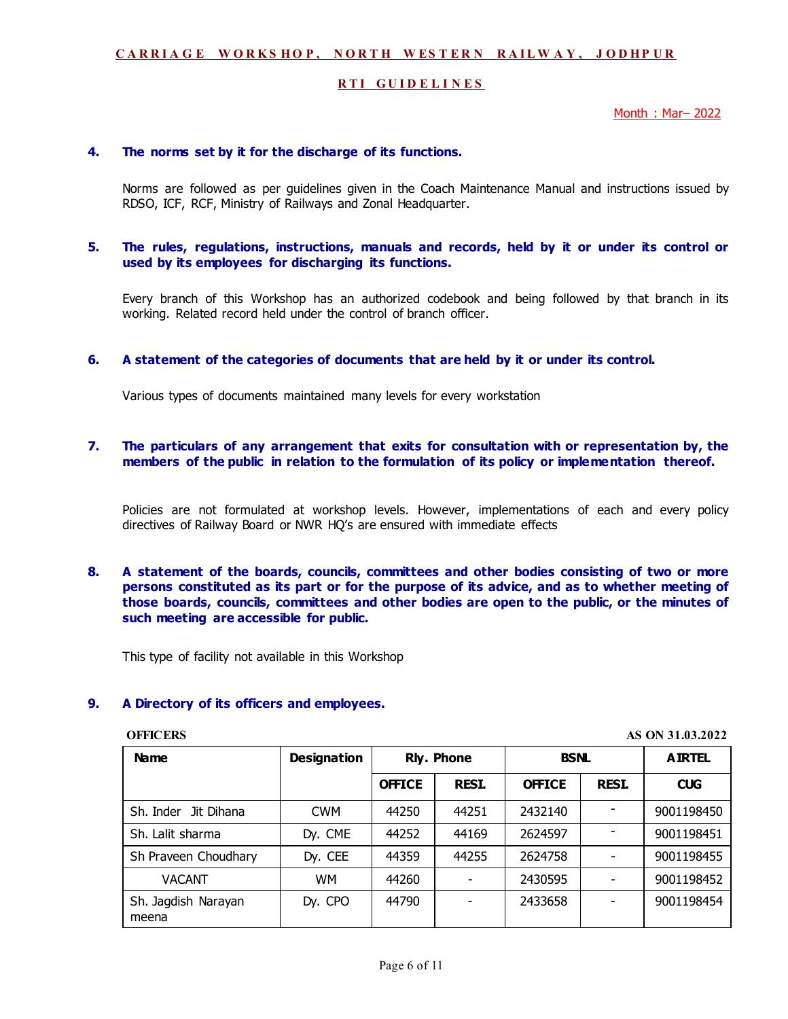#### **RTI GUIDELINES**

Month : Mar– 2022

#### **4. The norms set by it for the discharge of its functions.**

 Norms are followed as per guidelines given in the Coach Maintenance Manual and instructions issued by RDSO, ICF, RCF, Ministry of Railways and Zonal Headquarter.

#### **5. The rules, regulations, instructions, manuals and records, held by it or under its control or used by its employees for discharging its functions.**

 Every branch of this Workshop has an authorized codebook and being followed by that branch in its working. Related record held under the control of branch officer.

#### **6. A statement of the categories of documents that are held by it or under its control.**

Various types of documents maintained many levels for every workstation

### **7. The particulars of any arrangement that exits for consultation with or representation by, the members of the public in relation to the formulation of its policy or implementation thereof.**

 Policies are not formulated at workshop levels. However, implementations of each and every policy directives of Railway Board or NWR HQ's are ensured with immediate effects

**8. A statement of the boards, councils, committees and other bodies consisting of two or more persons constituted as its part or for the purpose of its advice, and as to whether meeting of those boards, councils, committees and other bodies are open to the public, or the minutes of such meeting are accessible for public.** 

This type of facility not available in this Workshop

#### **9. A Directory of its officers and employees.**

**OFFICERS AS ON 31.03.2022** 

| <b>Name</b>                  | <b>Designation</b> | <b>Rly. Phone</b> |              | <b>BSNL</b>   |              | <b>AIRTEL</b> |
|------------------------------|--------------------|-------------------|--------------|---------------|--------------|---------------|
|                              |                    | <b>OFFICE</b>     | <b>RESI.</b> | <b>OFFICE</b> | <b>RESI.</b> | <b>CUG</b>    |
| Jit Dihana<br>Sh. Inder      | <b>CWM</b>         | 44250             | 44251        | 2432140       |              | 9001198450    |
| Sh. Lalit sharma             | Dy. CME            | 44252             | 44169        | 2624597       |              | 9001198451    |
| Sh Praveen Choudhary         | Dy. CEE            | 44359             | 44255        | 2624758       |              | 9001198455    |
| <b>VACANT</b>                | <b>WM</b>          | 44260             |              | 2430595       |              | 9001198452    |
| Sh. Jagdish Narayan<br>meena | Dy. CPO            | 44790             |              | 2433658       |              | 9001198454    |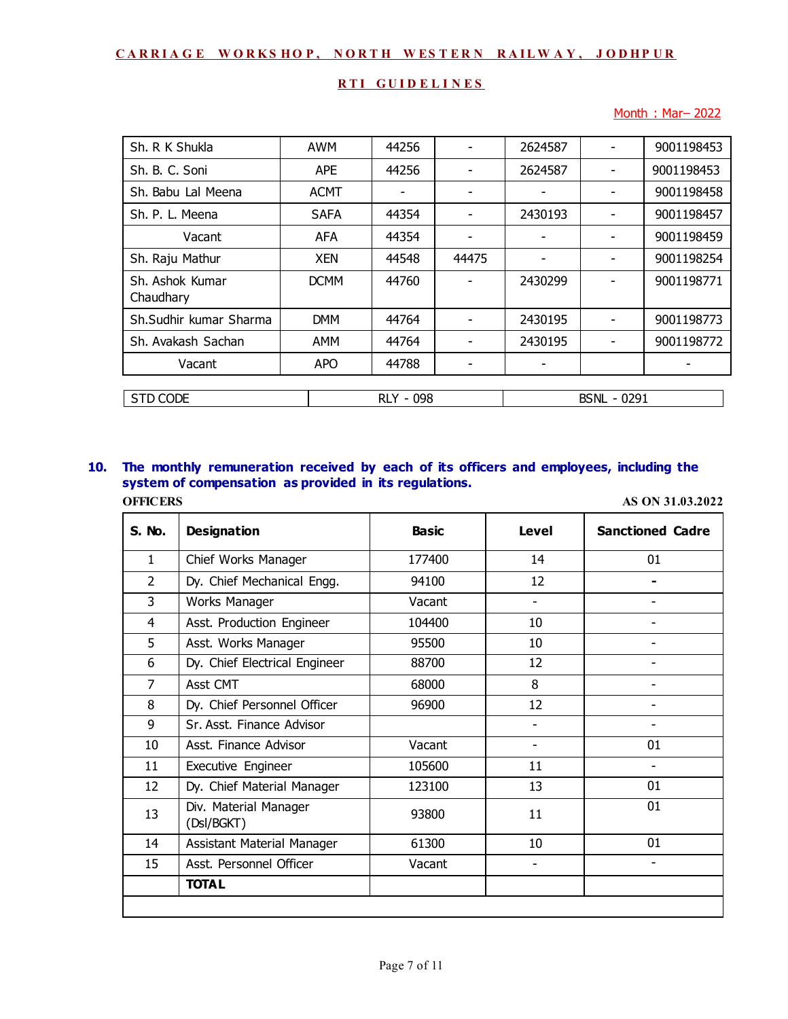## **RTI GUIDELINES**

## Month: Mar-2022

| Sh. R K Shukla               | <b>AWM</b>  | 44256 |                          | 2624587 |                          | 9001198453 |
|------------------------------|-------------|-------|--------------------------|---------|--------------------------|------------|
| Sh. B. C. Soni               | <b>APE</b>  | 44256 | $\overline{\phantom{0}}$ | 2624587 | $\overline{\phantom{0}}$ | 9001198453 |
| Sh. Babu Lal Meena           | <b>ACMT</b> | -     | ۰                        |         |                          | 9001198458 |
| Sh. P. L. Meena              | <b>SAFA</b> | 44354 | $\overline{\phantom{0}}$ | 2430193 |                          | 9001198457 |
| Vacant                       | <b>AFA</b>  | 44354 | $\overline{\phantom{0}}$ |         |                          | 9001198459 |
| Sh. Raju Mathur              | <b>XEN</b>  | 44548 | 44475                    |         | ۰                        | 9001198254 |
| Sh. Ashok Kumar<br>Chaudhary | <b>DCMM</b> | 44760 |                          | 2430299 |                          | 9001198771 |
| Sh.Sudhir kumar Sharma       | <b>DMM</b>  | 44764 |                          | 2430195 |                          | 9001198773 |
| Sh. Avakash Sachan           | AMM         | 44764 |                          | 2430195 |                          | 9001198772 |
| Vacant                       | <b>APO</b>  | 44788 |                          |         |                          |            |
|                              |             |       |                          |         |                          |            |
| <b>STD CODE</b>              | RLY - 098   |       |                          |         | <b>BSNL - 0291</b>       |            |

## **10. The monthly remuneration received by each of its officers and employees, including the system of compensation as provided in its regulations. OFFICERS AS ON 31.03.2022**

| S. No.         | <b>Designation</b>                  | <b>Basic</b> | Level                    | <b>Sanctioned Cadre</b> |
|----------------|-------------------------------------|--------------|--------------------------|-------------------------|
| $\mathbf{1}$   | Chief Works Manager                 | 177400       | 14                       | 01                      |
| $\overline{2}$ | Dy. Chief Mechanical Engg.          | 94100        | 12                       |                         |
| 3              | Works Manager                       | Vacant       | $\overline{\phantom{0}}$ |                         |
| 4              | Asst. Production Engineer           | 104400       | 10                       |                         |
| 5              | Asst. Works Manager                 | 95500        | 10                       |                         |
| 6              | Dy. Chief Electrical Engineer       | 88700        | 12                       |                         |
| 7              | Asst CMT                            | 68000        | 8                        |                         |
| 8              | Dy. Chief Personnel Officer         | 96900        | 12                       |                         |
| 9              | Sr. Asst. Finance Advisor           |              |                          |                         |
| 10             | Asst. Finance Advisor               | Vacant       | $\overline{\phantom{a}}$ | 01                      |
| 11             | Executive Engineer                  | 105600       | 11                       |                         |
| 12             | Dy. Chief Material Manager          | 123100       | 13                       | 01                      |
| 13             | Div. Material Manager<br>(DsI/BGKT) | 93800        | 11                       | 01                      |
| 14             | Assistant Material Manager          | 61300        | 10                       | 01                      |
| 15             | Asst. Personnel Officer             | Vacant       | -                        | -                       |
|                | <b>TOTAL</b>                        |              |                          |                         |
|                |                                     |              |                          |                         |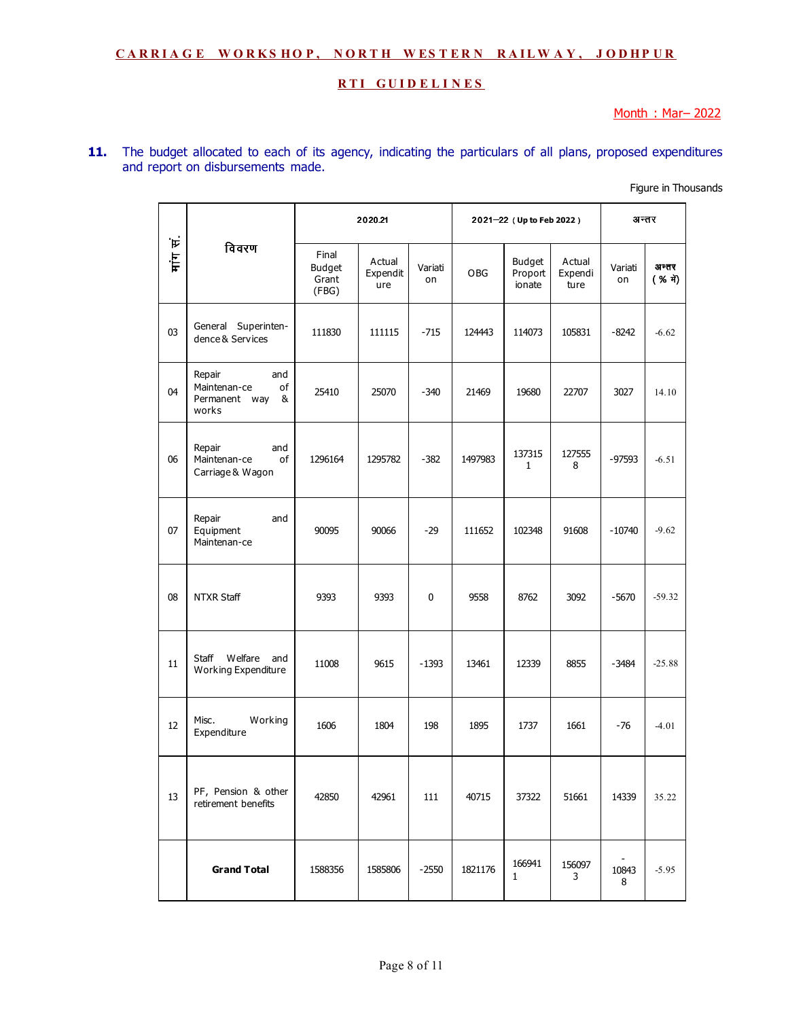## **RTI GUIDELINES**

Month : Mar– 2022

## **11.** The budget allocated to each of its agency, indicating the particulars of all plans, proposed expenditures and report on disbursements made.

Figure in Thousands

|    |                                                                    |                                          | 2020.21                   |               | 2021-22 (Up to Feb 2022) |                                    |                           | अन्तर         |                  |
|----|--------------------------------------------------------------------|------------------------------------------|---------------------------|---------------|--------------------------|------------------------------------|---------------------------|---------------|------------------|
| ļΕ | विवरण                                                              | Final<br><b>Budget</b><br>Grant<br>(FBG) | Actual<br>Expendit<br>ure | Variati<br>on | OBG                      | <b>Budget</b><br>Proport<br>ionate | Actual<br>Expendi<br>ture | Variati<br>on | अन्तर<br>(% में) |
| 03 | General Superinten-<br>dence & Services                            | 111830                                   | 111115                    | $-715$        | 124443                   | 114073                             | 105831                    | $-8242$       | $-6.62$          |
| 04 | Repair<br>and<br>Maintenan-ce<br>of<br>Permanent way<br>&<br>works | 25410                                    | 25070                     | $-340$        | 21469                    | 19680                              | 22707                     | 3027          | 14.10            |
| 06 | Repair<br>and<br>Maintenan-ce<br>of<br>Carriage & Wagon            | 1296164                                  | 1295782                   | $-382$        | 1497983                  | 137315<br>$\mathbf{1}$             | 127555<br>8               | $-97593$      | $-6.51$          |
| 07 | Repair<br>and<br>Equipment<br>Maintenan-ce                         | 90095                                    | 90066                     | $-29$         | 111652                   | 102348                             | 91608                     | $-10740$      | $-9.62$          |
| 08 | NTXR Staff                                                         | 9393                                     | 9393                      | 0             | 9558                     | 8762                               | 3092                      | $-5670$       | $-59.32$         |
| 11 | Welfare<br>Staff<br>and<br>Working Expenditure                     | 11008                                    | 9615                      | $-1393$       | 13461                    | 12339                              | 8855                      | $-3484$       | $-25.88$         |
| 12 | Misc.<br>Working<br>Expenditure                                    | 1606                                     | 1804                      | 198           | 1895                     | 1737                               | 1661                      | -76           | $-4.01$          |
| 13 | PF, Pension & other<br>retirement benefits                         | 42850                                    | 42961                     | 111           | 40715                    | 37322                              | 51661                     | 14339         | 35.22            |
|    | <b>Grand Total</b>                                                 | 1588356                                  | 1585806                   | $-2550$       | 1821176                  | 166941<br>$\mathbf{1}$             | 156097<br>3               | 10843<br>8    | $-5.95$          |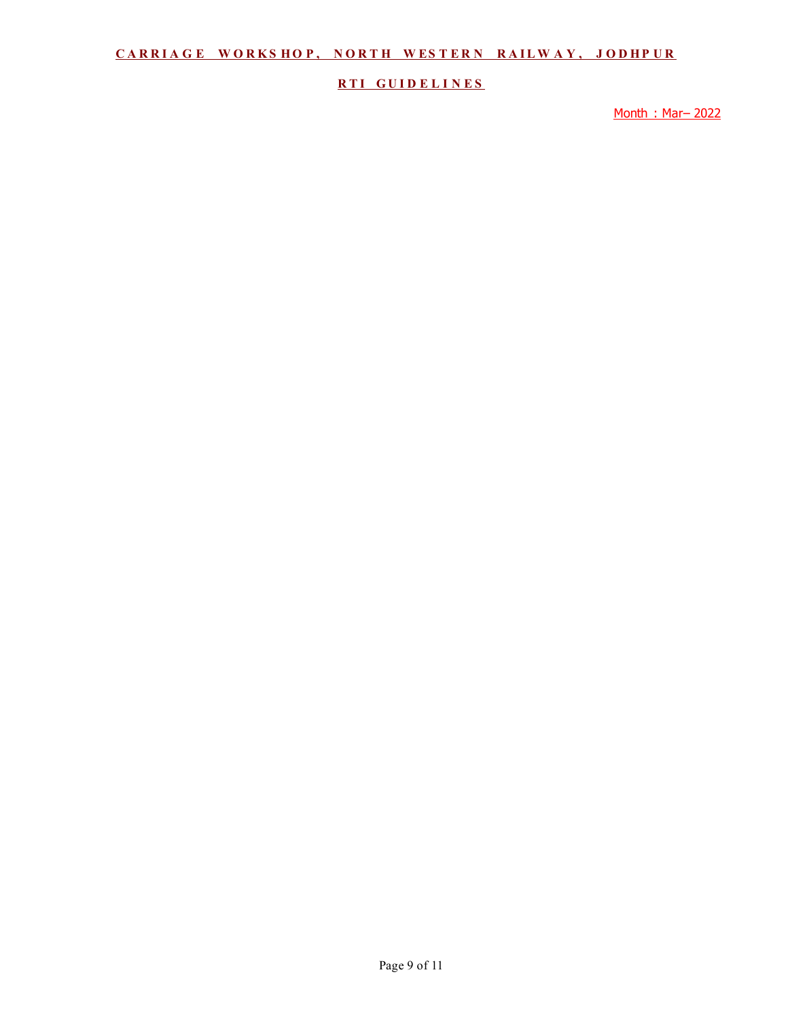## **RTI GUIDELINES**

Month : Mar– 2022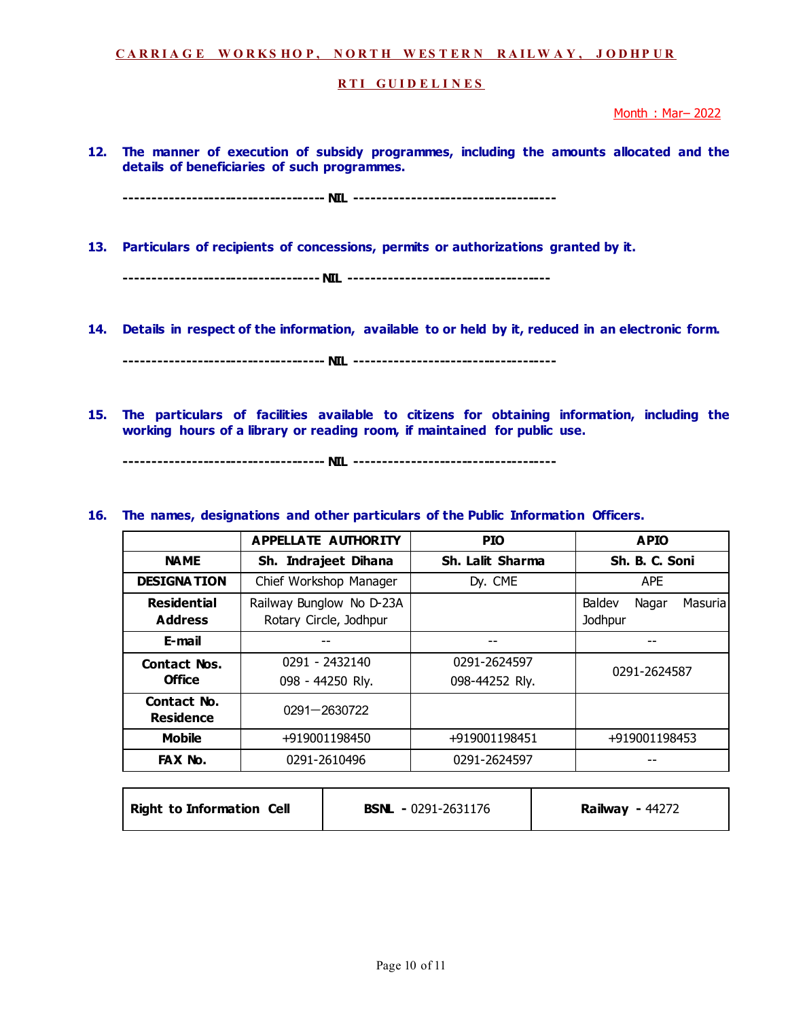#### **RTI GUIDELINES**

Month : Mar– 2022

**12. The manner of execution of subsidy programmes, including the amounts allocated and the details of beneficiaries of such programmes.** 

**------------------------------------ NIL ------------------------------------** 

**13. Particulars of recipients of concessions, permits or authorizations granted by it.** 

**----------------------------------- NIL ------------------------------------** 

**14. Details in respect of the information, available to or held by it, reduced in an electronic form.** 

**------------------------------------ NIL ------------------------------------** 

**15. The particulars of facilities available to citizens for obtaining information, including the working hours of a library or reading room, if maintained for public use.** 

**------------------------------------ NIL ------------------------------------** 

## **16. The names, designations and other particulars of the Public Information Officers.**

|                                      | APPELLATE AUTHORITY                                | <b>PIO</b>                     | <b>APIO</b>                            |
|--------------------------------------|----------------------------------------------------|--------------------------------|----------------------------------------|
| <b>NAME</b>                          | Sh. Indrajeet Dihana                               | Sh. Lalit Sharma               | Sh. B. C. Soni                         |
| <b>DESIGNATION</b>                   | Chief Workshop Manager                             | Dy. CME                        | <b>APE</b>                             |
| <b>Residential</b><br><b>Address</b> | Railway Bunglow No D-23A<br>Rotary Circle, Jodhpur |                                | Baldev<br>Nagar<br>Masurial<br>Jodhpur |
| E-mail                               |                                                    |                                |                                        |
| <b>Contact Nos.</b><br><b>Office</b> | 0291 - 2432140<br>098 - 44250 Rly.                 | 0291-2624597<br>098-44252 Rly. | 0291-2624587                           |
| Contact No.<br><b>Residence</b>      | 0291-2630722                                       |                                |                                        |
| <b>Mobile</b>                        | +919001198450                                      | +919001198451                  | +919001198453                          |
| FAX No.                              | 0291-2610496                                       | 0291-2624597                   |                                        |

| <b>Right to Information Cell</b> | <b>BSNL</b> - 0291-2631176 | <b>Railway - 44272</b> |
|----------------------------------|----------------------------|------------------------|
|----------------------------------|----------------------------|------------------------|